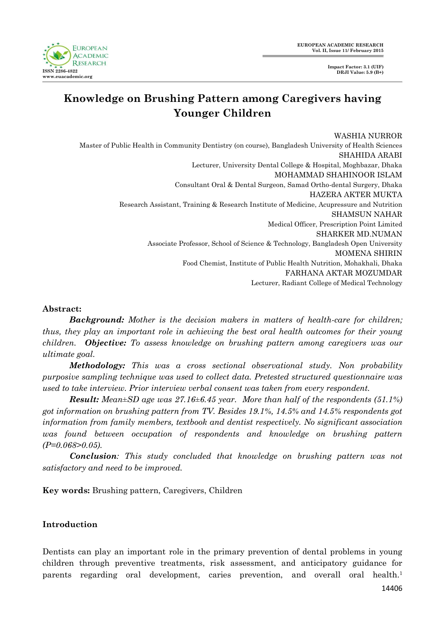

# **Knowledge on Brushing Pattern among Caregivers having Younger Children**

WASHIA NURROR Master of Public Health in Community Dentistry (on course), Bangladesh University of Health Sciences SHAHIDA ARABI Lecturer, University Dental College & Hospital, Moghbazar, Dhaka MOHAMMAD SHAHINOOR ISLAM Consultant Oral & Dental Surgeon, Samad Ortho-dental Surgery, Dhaka HAZERA AKTER MUKTA Research Assistant, Training & Research Institute of Medicine, Acupressure and Nutrition SHAMSUN NAHAR Medical Officer, Prescription Point Limited SHARKER MD.NUMAN Associate Professor, School of Science & Technology, Bangladesh Open University MOMENA SHIRIN Food Chemist, Institute of Public Health Nutrition, Mohakhali, Dhaka FARHANA AKTAR MOZUMDAR Lecturer, Radiant College of Medical Technology

### **Abstract:**

*Background: Mother is the decision makers in matters of health-care for children; thus, they play an important role in achieving the best oral health outcomes for their young children. Objective: To assess knowledge on brushing pattern among caregivers was our ultimate goal.* 

*Methodology: This was a cross sectional observational study. Non probability purposive sampling technique was used to collect data. Pretested structured questionnaire was used to take interview. Prior interview verbal consent was taken from every respondent.* 

*Result: Mean±SD age was 27.16±6.45 year. More than half of the respondents (51.1%) got information on brushing pattern from TV. Besides 19.1%, 14.5% and 14.5% respondents got information from family members, textbook and dentist respectively. No significant association was found between occupation of respondents and knowledge on brushing pattern (P=0.068>0.05).* 

*Conclusion: This study concluded that knowledge on brushing pattern was not satisfactory and need to be improved.*

**Key words:** Brushing pattern, Caregivers, Children

# **Introduction**

Dentists can play an important role in the primary prevention of dental problems in young children through preventive treatments, risk assessment, and anticipatory guidance for parents regarding oral development, caries prevention, and overall oral health.<sup>1</sup>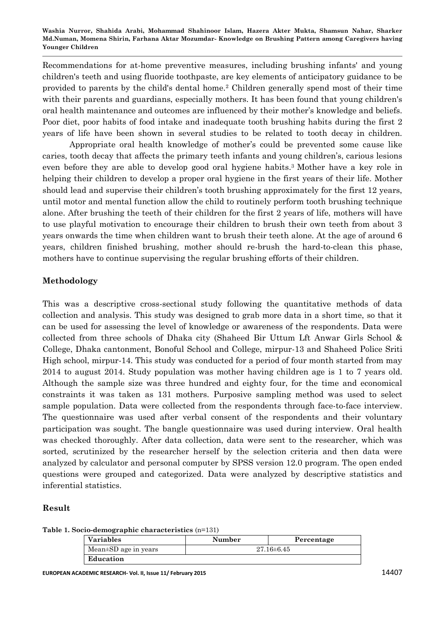**Washia Nurror, Shahida Arabi, Mohammad Shahinoor Islam, Hazera Akter Mukta, Shamsun Nahar, Sharker Md.Numan, Momena Shirin, Farhana Aktar Mozumdar- Knowledge on Brushing Pattern among Caregivers having Younger Children**

Recommendations for at-home preventive measures, including brushing infants' and young children's teeth and using fluoride toothpaste, are key elements of anticipatory guidance to be provided to parents by the child's dental home.<sup>2</sup> Children generally spend most of their time with their parents and guardians, especially mothers. It has been found that young children's oral health maintenance and outcomes are influenced by their mother's knowledge and beliefs. Poor diet, poor habits of food intake and inadequate tooth brushing habits during the first 2 years of life have been shown in several studies to be related to tooth decay in children.

Appropriate oral health knowledge of mother's could be prevented some cause like caries, tooth decay that affects the primary teeth infants and young children's, carious lesions even before they are able to develop good oral hygiene habits. <sup>3</sup> Mother have a key role in helping their children to develop a proper oral hygiene in the first years of their life. Mother should lead and supervise their children's tooth brushing approximately for the first 12 years, until motor and mental function allow the child to routinely perform tooth brushing technique alone. After brushing the teeth of their children for the first 2 years of life, mothers will have to use playful motivation to encourage their children to brush their own teeth from about 3 years onwards the time when children want to brush their teeth alone. At the age of around 6 years, children finished brushing, mother should re-brush the hard-to-clean this phase, mothers have to continue supervising the regular brushing efforts of their children.

## **Methodology**

This was a descriptive cross-sectional study following the quantitative methods of data collection and analysis. This study was designed to grab more data in a short time, so that it can be used for assessing the level of knowledge or awareness of the respondents. Data were collected from three schools of Dhaka city (Shaheed Bir Uttum Lft Anwar Girls School & College, Dhaka cantonment, Bonoful School and College, mirpur-13 and Shaheed Police Sriti High school, mirpur-14. This study was conducted for a period of four month started from may 2014 to august 2014. Study population was mother having children age is 1 to 7 years old. Although the sample size was three hundred and eighty four, for the time and economical constraints it was taken as 131 mothers. Purposive sampling method was used to select sample population. Data were collected from the respondents through face-to-face interview. The questionnaire was used after verbal consent of the respondents and their voluntary participation was sought. The bangle questionnaire was used during interview. Oral health was checked thoroughly. After data collection, data were sent to the researcher, which was sorted, scrutinized by the researcher herself by the selection criteria and then data were analyzed by calculator and personal computer by SPSS version 12.0 program. The open ended questions were grouped and categorized. Data were analyzed by descriptive statistics and inferential statistics.

### **Result**

**Table 1. Socio-demographic characteristics** (n=131)

| Variables            | Number<br>Percentage |  |  |  |
|----------------------|----------------------|--|--|--|
| Mean±SD age in years | $27.16 \pm 6.45$     |  |  |  |
| Education            |                      |  |  |  |

**EUROPEAN ACADEMIC RESEARCH- Vol. II, Issue 11/ February 2015** 14407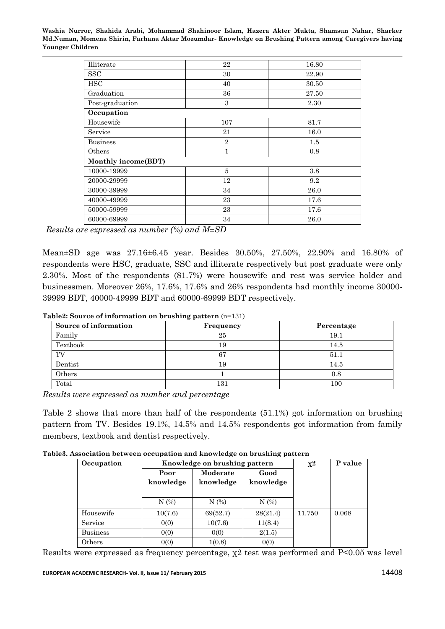**Washia Nurror, Shahida Arabi, Mohammad Shahinoor Islam, Hazera Akter Mukta, Shamsun Nahar, Sharker Md.Numan, Momena Shirin, Farhana Aktar Mozumdar- Knowledge on Brushing Pattern among Caregivers having Younger Children**

| Illiterate          | 22             | 16.80 |  |  |  |
|---------------------|----------------|-------|--|--|--|
| <b>SSC</b>          | 30             | 22.90 |  |  |  |
| <b>HSC</b>          | 40             | 30.50 |  |  |  |
| Graduation          | 36             | 27.50 |  |  |  |
| Post-graduation     | 3              | 2.30  |  |  |  |
| Occupation          |                |       |  |  |  |
| Housewife           | 107            | 81.7  |  |  |  |
| Service             | 21             | 16.0  |  |  |  |
| <b>Business</b>     | $\overline{2}$ | 1.5   |  |  |  |
| Others              | 1              | 0.8   |  |  |  |
| Monthly income(BDT) |                |       |  |  |  |
| 10000-19999         | 5              | 3.8   |  |  |  |
| 20000-29999         | 12             | 9.2   |  |  |  |
| 30000-39999         | 34             | 26.0  |  |  |  |
| 40000-49999         | 23             | 17.6  |  |  |  |
| 50000-59999         | 23             | 17.6  |  |  |  |
| 60000-69999         | 34             | 26.0  |  |  |  |

*Results are expressed as number (%) and M±SD* 

Mean±SD age was 27.16±6.45 year. Besides 30.50%, 27.50%, 22.90% and 16.80% of respondents were HSC, graduate, SSC and illiterate respectively but post graduate were only 2.30%. Most of the respondents (81.7%) were housewife and rest was service holder and businessmen. Moreover 26%, 17.6%, 17.6% and 26% respondents had monthly income 30000- 39999 BDT, 40000-49999 BDT and 60000-69999 BDT respectively.

| Source of information | Frequency | Percentage |
|-----------------------|-----------|------------|
| Family                | 25        | 19.1       |
| Textbook              | 19        | 14.5       |
| TV                    | 67        | 51.1       |
| Dentist               | 19        | 14.5       |
| Others                |           | 0.8        |
| Total                 | 131       | $100\,$    |

*Results were expressed as number and percentage*

Table 2 shows that more than half of the respondents (51.1%) got information on brushing pattern from TV. Besides 19.1%, 14.5% and 14.5% respondents got information from family members, textbook and dentist respectively.

|  |  |  |  |  |  | Table3. Association between occupation and knowledge on brushing pattern |
|--|--|--|--|--|--|--------------------------------------------------------------------------|
|--|--|--|--|--|--|--------------------------------------------------------------------------|

| Occupation      | Knowledge on brushing pattern |           |           | $\mathbf{x}^{\mathbf{2}}$ | P value |
|-----------------|-------------------------------|-----------|-----------|---------------------------|---------|
|                 | Poor                          | Moderate  | Good      |                           |         |
|                 | knowledge                     | knowledge | knowledge |                           |         |
|                 |                               |           |           |                           |         |
|                 | N(%)                          | N(%)      | N(%)      |                           |         |
| Housewife       | 10(7.6)                       | 69(52.7)  | 28(21.4)  | 11.750                    | 0.068   |
| Service         | 0(0)                          | 10(7.6)   | 11(8.4)   |                           |         |
| <b>Business</b> | 0(0)                          | 0(0)      | 2(1.5)    |                           |         |
| Others          | 0(0)                          | 1(0.8)    | 0(0)      |                           |         |

Results were expressed as frequency percentage, χ2 test was performed and P<0.05 was level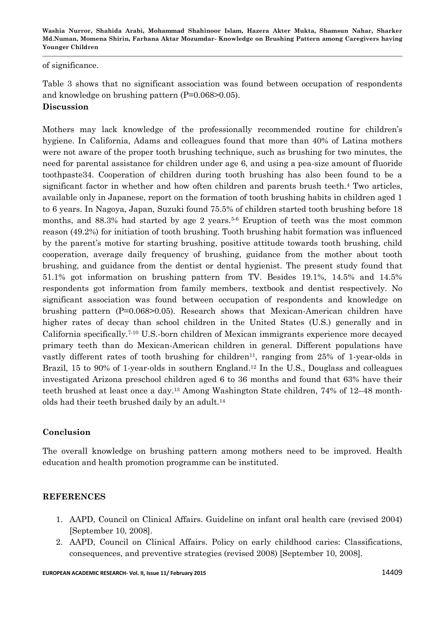**Washia Nurror, Shahida Arabi, Mohammad Shahinoor Islam, Hazera Akter Mukta, Shamsun Nahar, Sharker Md.Numan, Momena Shirin, Farhana Aktar Mozumdar- Knowledge on Brushing Pattern among Caregivers having Younger Children**

of significance.

Table 3 shows that no significant association was found between occupation of respondents and knowledge on brushing pattern (P=0.068>0.05). **Discussion** 

Mothers may lack knowledge of the professionally recommended routine for children's hygiene. In California, Adams and colleagues found that more than 40% of Latina mothers were not aware of the proper tooth brushing technique, such as brushing for two minutes, the need for parental assistance for children under age 6, and using a pea-size amount of fluoride toothpaste34. Cooperation of children during tooth brushing has also been found to be a significant factor in whether and how often children and parents brush teeth.<sup>4</sup> Two articles, available only in Japanese, report on the formation of tooth brushing habits in children aged 1 to 6 years. In Nagoya, Japan, Suzuki found 75.5% of children started tooth brushing before 18 months, and  $88.3\%$  had started by age 2 years.<sup>5-6</sup> Eruption of teeth was the most common reason (49.2%) for initiation of tooth brushing. Tooth brushing habit formation was influenced by the parent's motive for starting brushing, positive attitude towards tooth brushing, child cooperation, average daily frequency of brushing, guidance from the mother about tooth brushing, and guidance from the dentist or dental hygienist. The present study found that 51.1% got information on brushing pattern from TV. Besides 19.1%, 14.5% and 14.5% respondents got information from family members, textbook and dentist respectively. No significant association was found between occupation of respondents and knowledge on brushing pattern (P=0.068>0.05). Research shows that Mexican-American children have higher rates of decay than school children in the United States (U.S.) generally and in California specifically.7-10 U.S.-born children of Mexican immigrants experience more decayed primary teeth than do Mexican-American children in general. Different populations have vastly different rates of tooth brushing for children<sup>11</sup>, ranging from  $25\%$  of 1-year-olds in Brazil, 15 to 90% of 1-year-olds in southern England.<sup>12</sup> In the U.S., Douglass and colleagues investigated Arizona preschool children aged 6 to 36 months and found that 63% have their teeth brushed at least once a day. <sup>13</sup> Among Washington State children, 74% of 12–48 montholds had their teeth brushed daily by an adult. 14

# **Conclusion**

The overall knowledge on brushing pattern among mothers need to be improved. Health education and health promotion programme can be instituted.

# **REFERENCES**

- 1. AAPD, Council on Clinical Affairs. Guideline on infant oral health care (revised 2004) [September 10, 2008].
- 2. AAPD, Council on Clinical Affairs. Policy on early childhood caries: Classifications, consequences, and preventive strategies (revised 2008) [September 10, 2008].